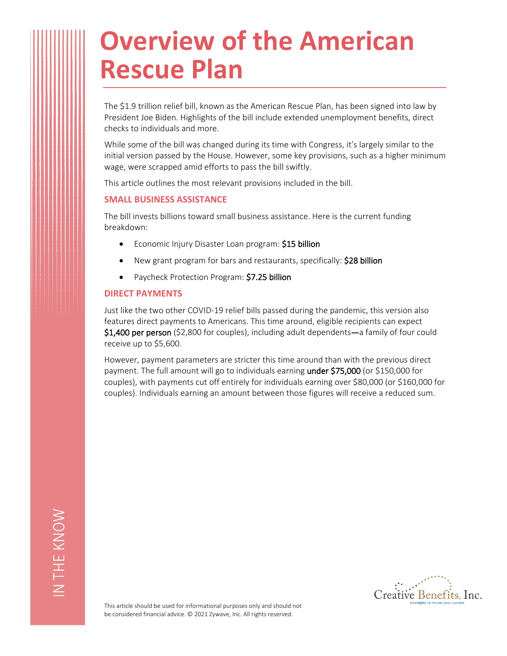# **Overview of the American Rescue Plan**

The \$1.9 trillion relief bill, known as the American Rescue Plan, has been signed into law by President Joe Biden. Highlights of the bill include extended unemployment benefits, direct checks to individuals and more.

While some of the bill was changed during its time with Congress, it's largely similar to the initial version passed by the House. However, some key provisions, such as a higher minimum wage, were scrapped amid efforts to pass the bill swiftly.

This article outlines the most relevant provisions included in the bill.

## **SMALL BUSINESS ASSISTANCE**

The bill invests billions toward small business assistance. Here is the current funding breakdown:

- Economic Injury Disaster Loan program: **\$15 billion**
- New grant program for bars and restaurants, specifically: **\$28 billion**
- Paycheck Protection Program: **\$7.25 billion**

## **DIRECT PAYMENTS**

Just like the two other COVID-19 relief bills passed during the pandemic, this version also features direct payments to Americans. This time around, eligible recipients can expect **\$1,400 per person** (\$2,800 for couples), including adult dependents**—**a family of four could receive up to \$5,600.

However, payment parameters are stricter this time around than with the previous direct payment. The full amount will go to individuals earning **under \$75,000** (or \$150,000 for couples), with payments cut off entirely for individuals earning over \$80,000 (or \$160,000 for couples). Individuals earning an amount between those figures will receive a reduced sum.



This article should be used for informational purposes only and should not be considered financial advice. © 2021 Zywave, Inc. All rights reserved.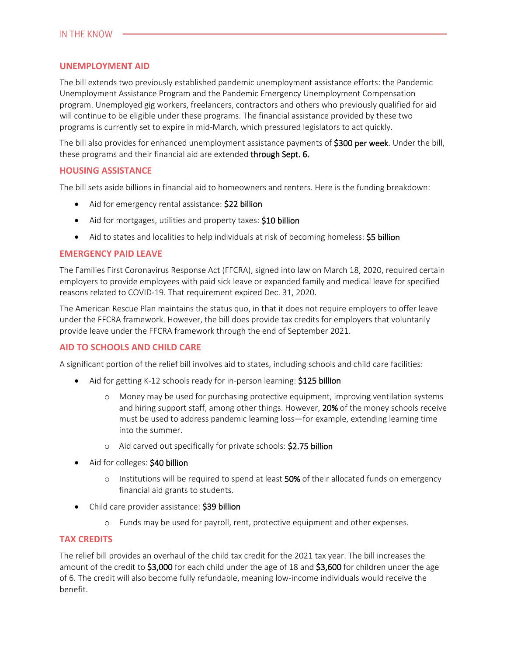# **UNEMPLOYMENT AID**

The bill extends two previously established pandemic unemployment assistance efforts: the Pandemic Unemployment Assistance Program and the Pandemic Emergency Unemployment Compensation program. Unemployed gig workers, freelancers, contractors and others who previously qualified for aid will continue to be eligible under these programs. The financial assistance provided by these two programs is currently set to expire in mid-March, which pressured legislators to act quickly.

The bill also provides for enhanced unemployment assistance payments of **\$300 per week**. Under the bill, these programs and their financial aid are extended **through Sept. 6.**

## **HOUSING ASSISTANCE**

The bill sets aside billions in financial aid to homeowners and renters. Here is the funding breakdown:

- Aid for emergency rental assistance: **\$22 billion**
- Aid for mortgages, utilities and property taxes: **\$10 billion**
- Aid to states and localities to help individuals at risk of becoming homeless: **\$5 billion**

# **EMERGENCY PAID LEAVE**

The Families First Coronavirus Response Act (FFCRA), signed into law on March 18, 2020, required certain employers to provide employees with paid sick leave or expanded family and medical leave for specified reasons related to COVID-19. That requirement expired Dec. 31, 2020.

The American Rescue Plan maintains the status quo, in that it does not require employers to offer leave under the FFCRA framework. However, the bill does provide tax credits for employers that voluntarily provide leave under the FFCRA framework through the end of September 2021.

# **AID TO SCHOOLS AND CHILD CARE**

A significant portion of the relief bill involves aid to states, including schools and child care facilities:

- Aid for getting K-12 schools ready for in-person learning: **\$125 billion**
	- o Money may be used for purchasing protective equipment, improving ventilation systems and hiring support staff, among other things. However, **20%** of the money schools receive must be used to address pandemic learning loss—for example, extending learning time into the summer.
	- o Aid carved out specifically for private schools: **\$2.75 billion**
- Aid for colleges: **\$40 billion**
	- o Institutions will be required to spend at least **50%** of their allocated funds on emergency financial aid grants to students.
- Child care provider assistance: **\$39 billion**
	- o Funds may be used for payroll, rent, protective equipment and other expenses.

## **TAX CREDITS**

The relief bill provides an overhaul of the child tax credit for the 2021 tax year. The bill increases the amount of the credit to **\$3,000** for each child under the age of 18 and **\$3,600** for children under the age of 6. The credit will also become fully refundable, meaning low-income individuals would receive the benefit.